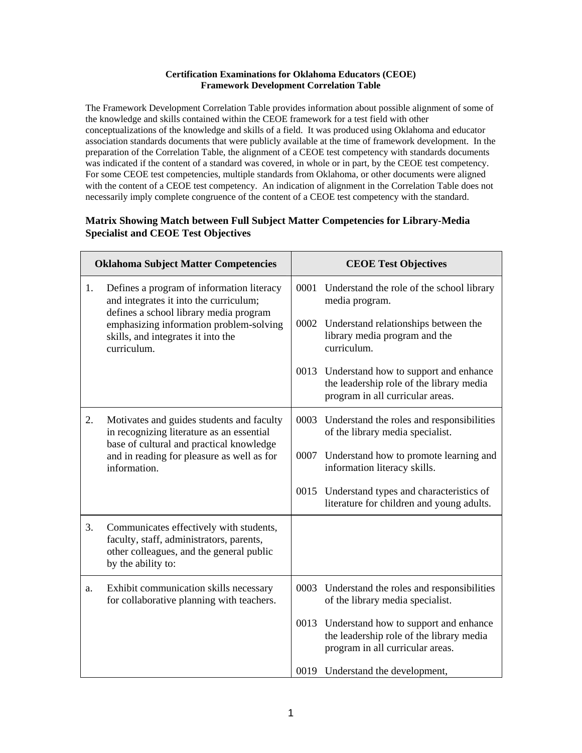## **Certification Examinations for Oklahoma Educators (CEOE) Framework Development Correlation Table**

The Framework Development Correlation Table provides information about possible alignment of some of the knowledge and skills contained within the CEOE framework for a test field with other conceptualizations of the knowledge and skills of a field. It was produced using Oklahoma and educator association standards documents that were publicly available at the time of framework development. In the preparation of the Correlation Table, the alignment of a CEOE test competency with standards documents was indicated if the content of a standard was covered, in whole or in part, by the CEOE test competency. For some CEOE test competencies, multiple standards from Oklahoma, or other documents were aligned with the content of a CEOE test competency. An indication of alignment in the Correlation Table does not necessarily imply complete congruence of the content of a CEOE test competency with the standard.

## **Matrix Showing Match between Full Subject Matter Competencies for Library-Media Specialist and CEOE Test Objectives**

| <b>Oklahoma Subject Matter Competencies</b> |                                                                                                                                                       | <b>CEOE Test Objectives</b>                                                                                                |  |
|---------------------------------------------|-------------------------------------------------------------------------------------------------------------------------------------------------------|----------------------------------------------------------------------------------------------------------------------------|--|
| 1.                                          | Defines a program of information literacy<br>and integrates it into the curriculum;                                                                   | 0001 Understand the role of the school library<br>media program.                                                           |  |
|                                             | defines a school library media program<br>emphasizing information problem-solving<br>skills, and integrates it into the<br>curriculum.                | 0002 Understand relationships between the<br>library media program and the<br>curriculum.                                  |  |
|                                             |                                                                                                                                                       | 0013 Understand how to support and enhance<br>the leadership role of the library media<br>program in all curricular areas. |  |
| 2.                                          | Motivates and guides students and faculty<br>in recognizing literature as an essential<br>base of cultural and practical knowledge                    | 0003 Understand the roles and responsibilities<br>of the library media specialist.                                         |  |
|                                             | and in reading for pleasure as well as for<br>information.                                                                                            | 0007 Understand how to promote learning and<br>information literacy skills.                                                |  |
|                                             |                                                                                                                                                       | 0015 Understand types and characteristics of<br>literature for children and young adults.                                  |  |
| 3.                                          | Communicates effectively with students,<br>faculty, staff, administrators, parents,<br>other colleagues, and the general public<br>by the ability to: |                                                                                                                            |  |
| a.                                          | Exhibit communication skills necessary<br>for collaborative planning with teachers.                                                                   | 0003 Understand the roles and responsibilities<br>of the library media specialist.                                         |  |
|                                             |                                                                                                                                                       | 0013 Understand how to support and enhance<br>the leadership role of the library media<br>program in all curricular areas. |  |
|                                             |                                                                                                                                                       | 0019 Understand the development,                                                                                           |  |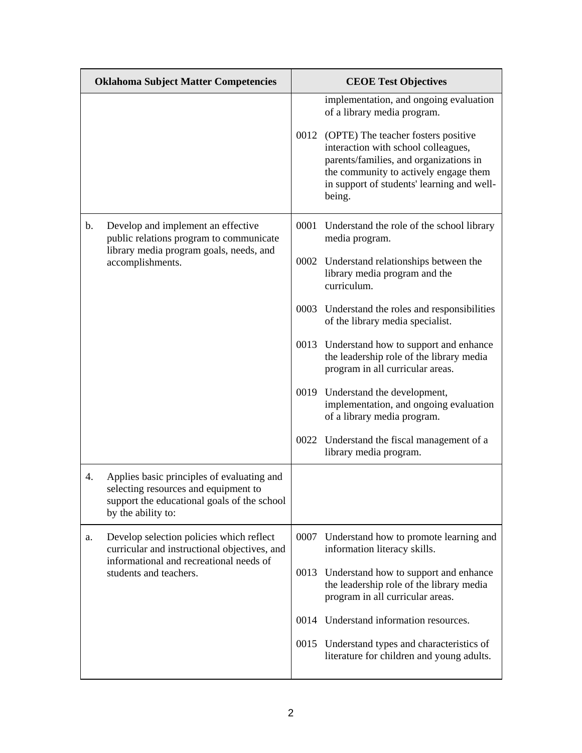| <b>Oklahoma Subject Matter Competencies</b> |                                                                                                                                                         | <b>CEOE Test Objectives</b> |                                                                                                                                                                                                                                                                                                     |  |
|---------------------------------------------|---------------------------------------------------------------------------------------------------------------------------------------------------------|-----------------------------|-----------------------------------------------------------------------------------------------------------------------------------------------------------------------------------------------------------------------------------------------------------------------------------------------------|--|
|                                             |                                                                                                                                                         |                             | implementation, and ongoing evaluation<br>of a library media program.<br>0012 (OPTE) The teacher fosters positive<br>interaction with school colleagues,<br>parents/families, and organizations in<br>the community to actively engage them<br>in support of students' learning and well-<br>being. |  |
| $\mathbf b$ .                               | Develop and implement an effective<br>public relations program to communicate                                                                           |                             | 0001 Understand the role of the school library<br>media program.                                                                                                                                                                                                                                    |  |
|                                             | library media program goals, needs, and<br>accomplishments.                                                                                             |                             | 0002 Understand relationships between the<br>library media program and the<br>curriculum.                                                                                                                                                                                                           |  |
|                                             |                                                                                                                                                         |                             | 0003 Understand the roles and responsibilities<br>of the library media specialist.                                                                                                                                                                                                                  |  |
|                                             |                                                                                                                                                         |                             | 0013 Understand how to support and enhance<br>the leadership role of the library media<br>program in all curricular areas.                                                                                                                                                                          |  |
|                                             |                                                                                                                                                         |                             | 0019 Understand the development,<br>implementation, and ongoing evaluation<br>of a library media program.                                                                                                                                                                                           |  |
|                                             |                                                                                                                                                         |                             | 0022 Understand the fiscal management of a<br>library media program.                                                                                                                                                                                                                                |  |
| 4.                                          | Applies basic principles of evaluating and<br>selecting resources and equipment to<br>support the educational goals of the school<br>by the ability to: |                             |                                                                                                                                                                                                                                                                                                     |  |
| a.                                          | Develop selection policies which reflect<br>curricular and instructional objectives, and<br>informational and recreational needs of                     |                             | 0007 Understand how to promote learning and<br>information literacy skills.                                                                                                                                                                                                                         |  |
|                                             | students and teachers.                                                                                                                                  | 0013                        | Understand how to support and enhance<br>the leadership role of the library media<br>program in all curricular areas.                                                                                                                                                                               |  |
|                                             |                                                                                                                                                         |                             | 0014 Understand information resources.                                                                                                                                                                                                                                                              |  |
|                                             |                                                                                                                                                         |                             | 0015 Understand types and characteristics of<br>literature for children and young adults.                                                                                                                                                                                                           |  |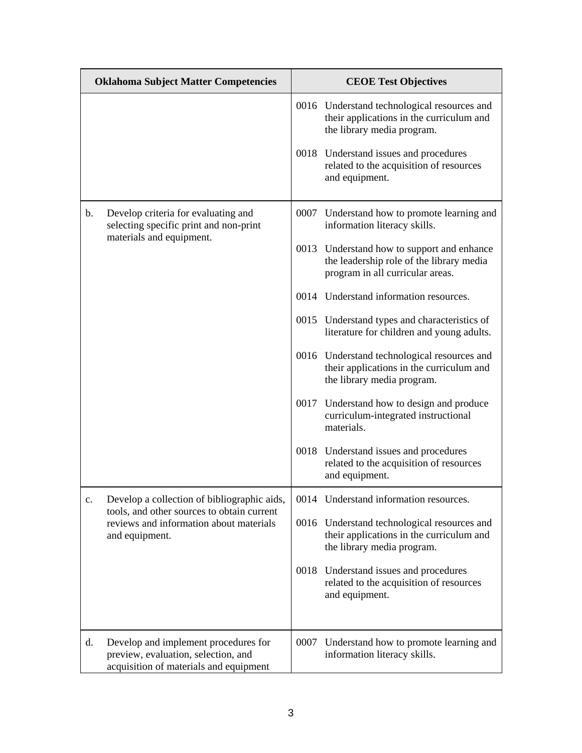| <b>Oklahoma Subject Matter Competencies</b> |                                                                                                                       | <b>CEOE Test Objectives</b> |                                                                                                                            |  |
|---------------------------------------------|-----------------------------------------------------------------------------------------------------------------------|-----------------------------|----------------------------------------------------------------------------------------------------------------------------|--|
|                                             |                                                                                                                       |                             | 0016 Understand technological resources and<br>their applications in the curriculum and<br>the library media program.      |  |
|                                             |                                                                                                                       |                             | 0018 Understand issues and procedures<br>related to the acquisition of resources<br>and equipment.                         |  |
| b.                                          | Develop criteria for evaluating and<br>selecting specific print and non-print                                         |                             | 0007 Understand how to promote learning and<br>information literacy skills.                                                |  |
|                                             | materials and equipment.                                                                                              |                             | 0013 Understand how to support and enhance<br>the leadership role of the library media<br>program in all curricular areas. |  |
|                                             |                                                                                                                       |                             | 0014 Understand information resources.                                                                                     |  |
|                                             |                                                                                                                       |                             | 0015 Understand types and characteristics of<br>literature for children and young adults.                                  |  |
|                                             |                                                                                                                       |                             | 0016 Understand technological resources and<br>their applications in the curriculum and<br>the library media program.      |  |
|                                             |                                                                                                                       |                             | 0017 Understand how to design and produce<br>curriculum-integrated instructional<br>materials.                             |  |
|                                             |                                                                                                                       |                             | 0018 Understand issues and procedures<br>related to the acquisition of resources<br>and equipment.                         |  |
| c.                                          | Develop a collection of bibliographic aids,                                                                           |                             | 0014 Understand information resources.                                                                                     |  |
|                                             | tools, and other sources to obtain current<br>reviews and information about materials<br>and equipment.               |                             | 0016 Understand technological resources and<br>their applications in the curriculum and<br>the library media program.      |  |
|                                             |                                                                                                                       |                             | 0018 Understand issues and procedures<br>related to the acquisition of resources<br>and equipment.                         |  |
| d.                                          | Develop and implement procedures for<br>preview, evaluation, selection, and<br>acquisition of materials and equipment | 0007                        | Understand how to promote learning and<br>information literacy skills.                                                     |  |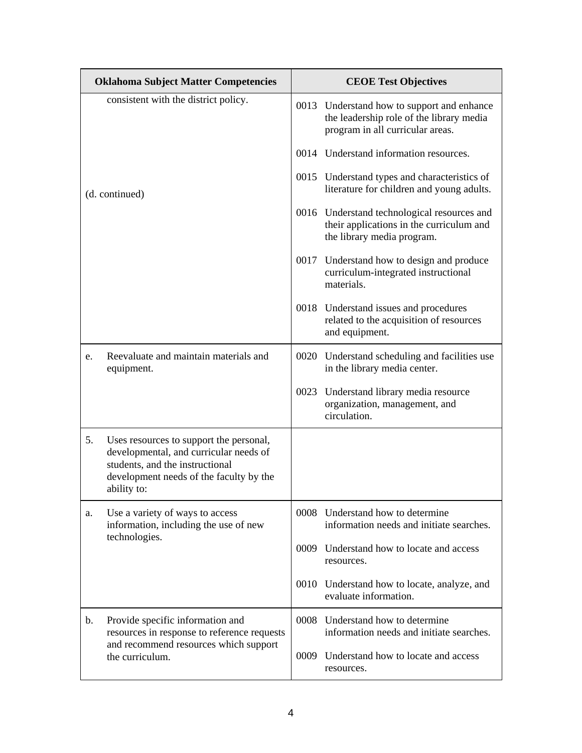|    | <b>Oklahoma Subject Matter Competencies</b>                                                                                                                                    | <b>CEOE Test Objectives</b>                                                                                                |
|----|--------------------------------------------------------------------------------------------------------------------------------------------------------------------------------|----------------------------------------------------------------------------------------------------------------------------|
|    | consistent with the district policy.                                                                                                                                           | 0013 Understand how to support and enhance<br>the leadership role of the library media<br>program in all curricular areas. |
|    |                                                                                                                                                                                | 0014 Understand information resources.                                                                                     |
|    | (d. continued)                                                                                                                                                                 | 0015 Understand types and characteristics of<br>literature for children and young adults.                                  |
|    |                                                                                                                                                                                | 0016 Understand technological resources and<br>their applications in the curriculum and<br>the library media program.      |
|    |                                                                                                                                                                                | 0017 Understand how to design and produce<br>curriculum-integrated instructional<br>materials.                             |
|    |                                                                                                                                                                                | 0018 Understand issues and procedures<br>related to the acquisition of resources<br>and equipment.                         |
| e. | Reevaluate and maintain materials and<br>equipment.                                                                                                                            | 0020 Understand scheduling and facilities use<br>in the library media center.                                              |
|    |                                                                                                                                                                                | 0023 Understand library media resource<br>organization, management, and<br>circulation.                                    |
| 5. | Uses resources to support the personal,<br>developmental, and curricular needs of<br>students, and the instructional<br>development needs of the faculty by the<br>ability to: |                                                                                                                            |
| a. | Use a variety of ways to access<br>information, including the use of new<br>technologies.                                                                                      | 0008 Understand how to determine<br>information needs and initiate searches.                                               |
|    |                                                                                                                                                                                | 0009 Understand how to locate and access<br>resources.                                                                     |
|    |                                                                                                                                                                                | 0010 Understand how to locate, analyze, and<br>evaluate information.                                                       |
| b. | Provide specific information and<br>resources in response to reference requests                                                                                                | 0008 Understand how to determine<br>information needs and initiate searches.                                               |
|    | and recommend resources which support<br>the curriculum.                                                                                                                       | 0009 Understand how to locate and access<br>resources.                                                                     |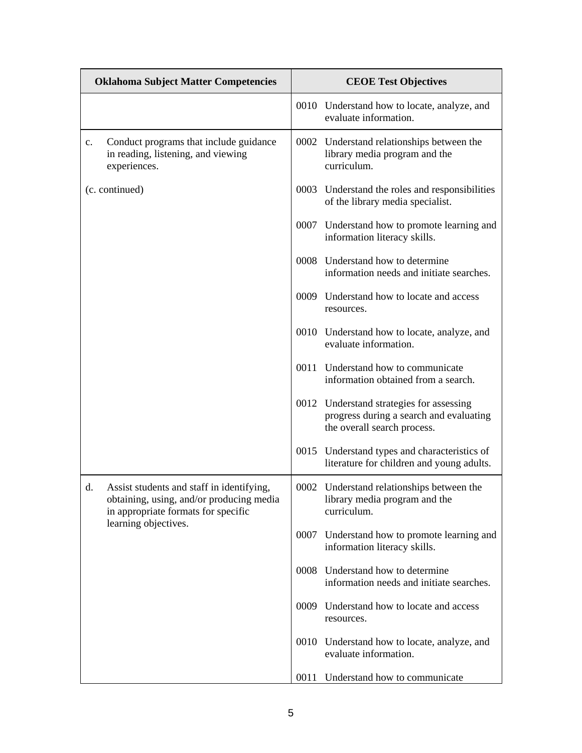| <b>Oklahoma Subject Matter Competencies</b>                                                                                        | <b>CEOE Test Objectives</b>                                                                                        |  |  |
|------------------------------------------------------------------------------------------------------------------------------------|--------------------------------------------------------------------------------------------------------------------|--|--|
|                                                                                                                                    | 0010 Understand how to locate, analyze, and<br>evaluate information.                                               |  |  |
| Conduct programs that include guidance<br>c.<br>in reading, listening, and viewing<br>experiences.                                 | 0002 Understand relationships between the<br>library media program and the<br>curriculum.                          |  |  |
| (c. continued)                                                                                                                     | 0003 Understand the roles and responsibilities<br>of the library media specialist.                                 |  |  |
|                                                                                                                                    | 0007 Understand how to promote learning and<br>information literacy skills.                                        |  |  |
|                                                                                                                                    | 0008 Understand how to determine<br>information needs and initiate searches.                                       |  |  |
|                                                                                                                                    | 0009 Understand how to locate and access<br>resources.                                                             |  |  |
|                                                                                                                                    | 0010 Understand how to locate, analyze, and<br>evaluate information.                                               |  |  |
|                                                                                                                                    | Understand how to communicate<br>0011<br>information obtained from a search.                                       |  |  |
|                                                                                                                                    | 0012 Understand strategies for assessing<br>progress during a search and evaluating<br>the overall search process. |  |  |
|                                                                                                                                    | 0015 Understand types and characteristics of<br>literature for children and young adults.                          |  |  |
| d.<br>Assist students and staff in identifying,<br>obtaining, using, and/or producing media<br>in appropriate formats for specific | 0002 Understand relationships between the<br>library media program and the<br>curriculum.                          |  |  |
| learning objectives.                                                                                                               | 0007 Understand how to promote learning and<br>information literacy skills.                                        |  |  |
|                                                                                                                                    | 0008 Understand how to determine<br>information needs and initiate searches.                                       |  |  |
|                                                                                                                                    | 0009 Understand how to locate and access<br>resources.                                                             |  |  |
|                                                                                                                                    | 0010 Understand how to locate, analyze, and<br>evaluate information.                                               |  |  |
|                                                                                                                                    | 0011<br>Understand how to communicate                                                                              |  |  |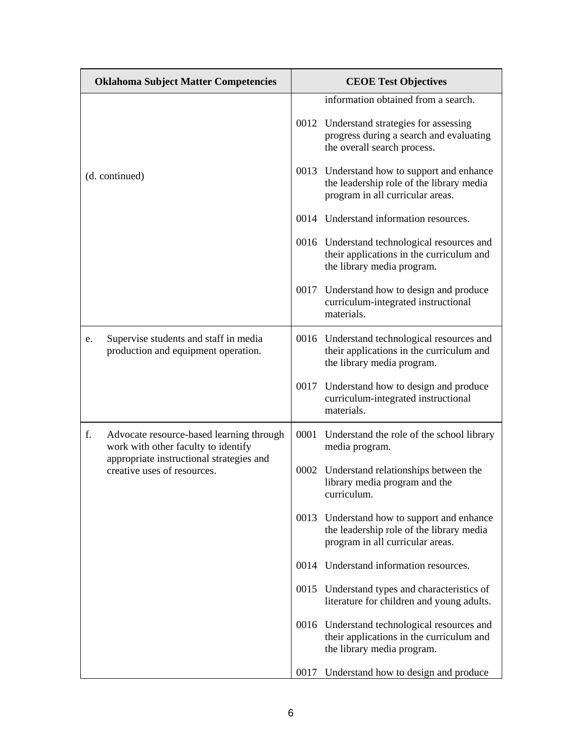| <b>Oklahoma Subject Matter Competencies</b>                                           | <b>CEOE Test Objectives</b>                                                                                                |
|---------------------------------------------------------------------------------------|----------------------------------------------------------------------------------------------------------------------------|
|                                                                                       | information obtained from a search.                                                                                        |
|                                                                                       | 0012 Understand strategies for assessing<br>progress during a search and evaluating<br>the overall search process.         |
| (d. continued)                                                                        | 0013 Understand how to support and enhance<br>the leadership role of the library media<br>program in all curricular areas. |
|                                                                                       | 0014 Understand information resources.                                                                                     |
|                                                                                       | 0016 Understand technological resources and<br>their applications in the curriculum and<br>the library media program.      |
|                                                                                       | 0017 Understand how to design and produce<br>curriculum-integrated instructional<br>materials.                             |
| Supervise students and staff in media<br>e.<br>production and equipment operation.    | 0016 Understand technological resources and<br>their applications in the curriculum and<br>the library media program.      |
|                                                                                       | 0017 Understand how to design and produce<br>curriculum-integrated instructional<br>materials.                             |
| f.<br>Advocate resource-based learning through<br>work with other faculty to identify | 0001 Understand the role of the school library<br>media program.                                                           |
| appropriate instructional strategies and<br>creative uses of resources.               | 0002 Understand relationships between the<br>library media program and the<br>curriculum.                                  |
|                                                                                       | 0013 Understand how to support and enhance<br>the leadership role of the library media<br>program in all curricular areas. |
|                                                                                       | 0014 Understand information resources.                                                                                     |
|                                                                                       | 0015 Understand types and characteristics of<br>literature for children and young adults.                                  |
|                                                                                       | 0016 Understand technological resources and<br>their applications in the curriculum and<br>the library media program.      |
|                                                                                       | Understand how to design and produce<br>0017                                                                               |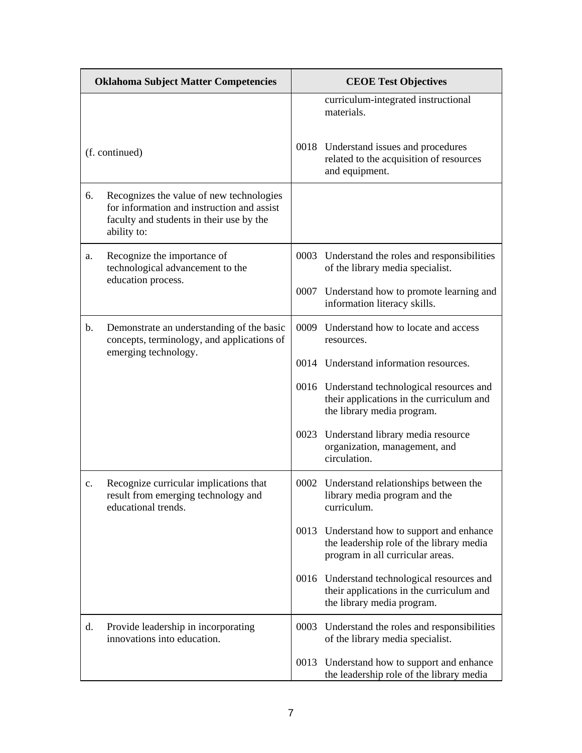|    | <b>Oklahoma Subject Matter Competencies</b>                                                                                                       | <b>CEOE Test Objectives</b> |                                                                                                                            |  |
|----|---------------------------------------------------------------------------------------------------------------------------------------------------|-----------------------------|----------------------------------------------------------------------------------------------------------------------------|--|
|    |                                                                                                                                                   |                             | curriculum-integrated instructional<br>materials.                                                                          |  |
|    | (f. continued)                                                                                                                                    |                             | 0018 Understand issues and procedures<br>related to the acquisition of resources<br>and equipment.                         |  |
| 6. | Recognizes the value of new technologies<br>for information and instruction and assist<br>faculty and students in their use by the<br>ability to: |                             |                                                                                                                            |  |
| a. | Recognize the importance of<br>technological advancement to the<br>education process.                                                             |                             | 0003 Understand the roles and responsibilities<br>of the library media specialist.                                         |  |
|    |                                                                                                                                                   | 0007                        | Understand how to promote learning and<br>information literacy skills.                                                     |  |
| b. | Demonstrate an understanding of the basic<br>concepts, terminology, and applications of                                                           |                             | 0009 Understand how to locate and access<br>resources.                                                                     |  |
|    | emerging technology.                                                                                                                              |                             | 0014 Understand information resources.                                                                                     |  |
|    |                                                                                                                                                   |                             | 0016 Understand technological resources and<br>their applications in the curriculum and<br>the library media program.      |  |
|    |                                                                                                                                                   |                             | 0023 Understand library media resource<br>organization, management, and<br>circulation.                                    |  |
| c. | Recognize curricular implications that<br>result from emerging technology and<br>educational trends.                                              |                             | 0002 Understand relationships between the<br>library media program and the<br>curriculum.                                  |  |
|    |                                                                                                                                                   |                             | 0013 Understand how to support and enhance<br>the leadership role of the library media<br>program in all curricular areas. |  |
|    |                                                                                                                                                   |                             | 0016 Understand technological resources and<br>their applications in the curriculum and<br>the library media program.      |  |
| d. | Provide leadership in incorporating<br>innovations into education.                                                                                |                             | 0003 Understand the roles and responsibilities<br>of the library media specialist.                                         |  |
|    |                                                                                                                                                   | 0013                        | Understand how to support and enhance<br>the leadership role of the library media                                          |  |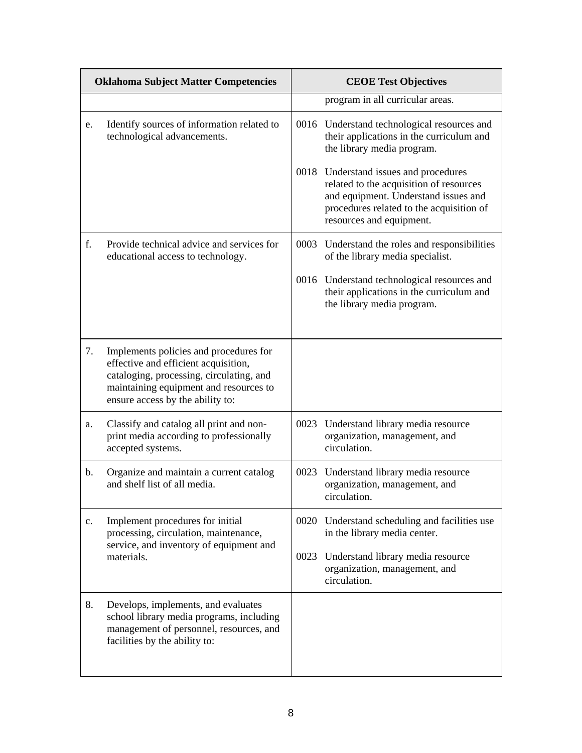| <b>Oklahoma Subject Matter Competencies</b> |                                                                                                                                                                                                          |      | <b>CEOE Test Objectives</b>                                                                                                                                                                      |
|---------------------------------------------|----------------------------------------------------------------------------------------------------------------------------------------------------------------------------------------------------------|------|--------------------------------------------------------------------------------------------------------------------------------------------------------------------------------------------------|
|                                             |                                                                                                                                                                                                          |      | program in all curricular areas.                                                                                                                                                                 |
| e.                                          | Identify sources of information related to<br>technological advancements.                                                                                                                                |      | 0016 Understand technological resources and<br>their applications in the curriculum and<br>the library media program.                                                                            |
|                                             |                                                                                                                                                                                                          |      | 0018 Understand issues and procedures<br>related to the acquisition of resources<br>and equipment. Understand issues and<br>procedures related to the acquisition of<br>resources and equipment. |
| f.                                          | Provide technical advice and services for<br>educational access to technology.                                                                                                                           |      | 0003 Understand the roles and responsibilities<br>of the library media specialist.                                                                                                               |
|                                             |                                                                                                                                                                                                          |      | 0016 Understand technological resources and<br>their applications in the curriculum and<br>the library media program.                                                                            |
| 7.                                          | Implements policies and procedures for<br>effective and efficient acquisition,<br>cataloging, processing, circulating, and<br>maintaining equipment and resources to<br>ensure access by the ability to: |      |                                                                                                                                                                                                  |
| a.                                          | Classify and catalog all print and non-<br>print media according to professionally<br>accepted systems.                                                                                                  |      | 0023 Understand library media resource<br>organization, management, and<br>circulation.                                                                                                          |
| b.                                          | Organize and maintain a current catalog<br>and shelf list of all media.                                                                                                                                  |      | 0023 Understand library media resource<br>organization, management, and<br>circulation.                                                                                                          |
| $\mathbf{c}$ .                              | Implement procedures for initial<br>processing, circulation, maintenance,<br>service, and inventory of equipment and                                                                                     |      | 0020 Understand scheduling and facilities use<br>in the library media center.                                                                                                                    |
|                                             | materials.                                                                                                                                                                                               | 0023 | Understand library media resource<br>organization, management, and<br>circulation.                                                                                                               |
| 8.                                          | Develops, implements, and evaluates<br>school library media programs, including<br>management of personnel, resources, and<br>facilities by the ability to:                                              |      |                                                                                                                                                                                                  |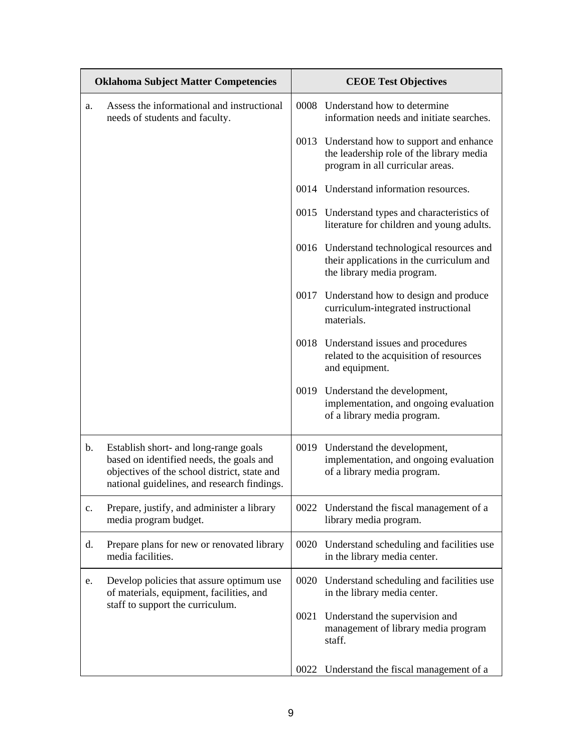| <b>Oklahoma Subject Matter Competencies</b> |                                                                                                                                                                                  | <b>CEOE Test Objectives</b> |                                                                                                                            |  |
|---------------------------------------------|----------------------------------------------------------------------------------------------------------------------------------------------------------------------------------|-----------------------------|----------------------------------------------------------------------------------------------------------------------------|--|
| a.                                          | Assess the informational and instructional<br>needs of students and faculty.                                                                                                     |                             | 0008 Understand how to determine<br>information needs and initiate searches.                                               |  |
|                                             |                                                                                                                                                                                  |                             | 0013 Understand how to support and enhance<br>the leadership role of the library media<br>program in all curricular areas. |  |
|                                             |                                                                                                                                                                                  |                             | 0014 Understand information resources.                                                                                     |  |
|                                             |                                                                                                                                                                                  |                             | 0015 Understand types and characteristics of<br>literature for children and young adults.                                  |  |
|                                             |                                                                                                                                                                                  |                             | 0016 Understand technological resources and<br>their applications in the curriculum and<br>the library media program.      |  |
|                                             |                                                                                                                                                                                  |                             | 0017 Understand how to design and produce<br>curriculum-integrated instructional<br>materials.                             |  |
|                                             |                                                                                                                                                                                  |                             | 0018 Understand issues and procedures<br>related to the acquisition of resources<br>and equipment.                         |  |
|                                             |                                                                                                                                                                                  |                             | 0019 Understand the development,<br>implementation, and ongoing evaluation<br>of a library media program.                  |  |
| b.                                          | Establish short- and long-range goals<br>based on identified needs, the goals and<br>objectives of the school district, state and<br>national guidelines, and research findings. |                             | 0019 Understand the development,<br>implementation, and ongoing evaluation<br>of a library media program.                  |  |
| $\mathbf{c}$ .                              | Prepare, justify, and administer a library<br>media program budget.                                                                                                              |                             | 0022 Understand the fiscal management of a<br>library media program.                                                       |  |
| d.                                          | Prepare plans for new or renovated library<br>media facilities.                                                                                                                  |                             | 0020 Understand scheduling and facilities use<br>in the library media center.                                              |  |
| e.                                          | Develop policies that assure optimum use<br>of materials, equipment, facilities, and<br>staff to support the curriculum.                                                         |                             | 0020 Understand scheduling and facilities use<br>in the library media center.                                              |  |
|                                             |                                                                                                                                                                                  |                             | 0021 Understand the supervision and<br>management of library media program<br>staff.                                       |  |
|                                             |                                                                                                                                                                                  | 0022                        | Understand the fiscal management of a                                                                                      |  |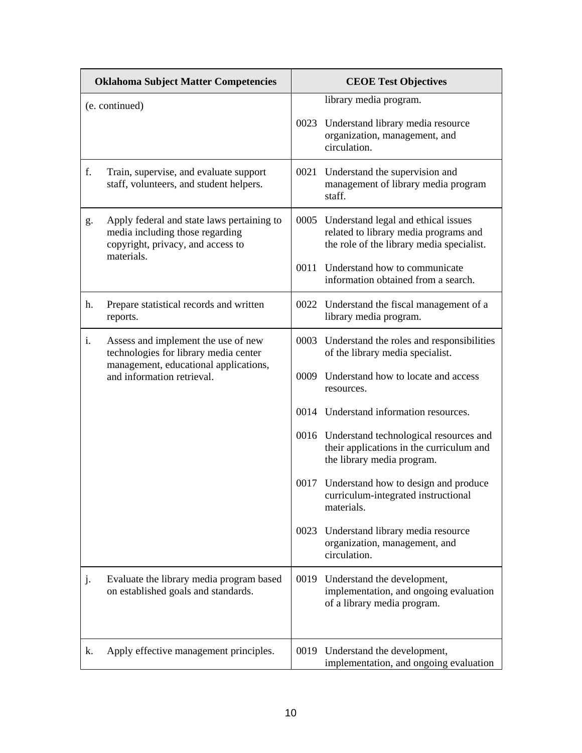| <b>Oklahoma Subject Matter Competencies</b> |                                                                                                                                  | <b>CEOE Test Objectives</b> |                                                                                                                                |
|---------------------------------------------|----------------------------------------------------------------------------------------------------------------------------------|-----------------------------|--------------------------------------------------------------------------------------------------------------------------------|
|                                             | (e. continued)                                                                                                                   |                             | library media program.                                                                                                         |
|                                             |                                                                                                                                  |                             | 0023 Understand library media resource<br>organization, management, and<br>circulation.                                        |
| f.                                          | Train, supervise, and evaluate support<br>staff, volunteers, and student helpers.                                                |                             | 0021 Understand the supervision and<br>management of library media program<br>staff.                                           |
| g.                                          | Apply federal and state laws pertaining to<br>media including those regarding<br>copyright, privacy, and access to<br>materials. |                             | 0005 Understand legal and ethical issues<br>related to library media programs and<br>the role of the library media specialist. |
|                                             |                                                                                                                                  |                             | 0011 Understand how to communicate<br>information obtained from a search.                                                      |
| h.                                          | Prepare statistical records and written<br>reports.                                                                              |                             | 0022 Understand the fiscal management of a<br>library media program.                                                           |
| i.                                          | Assess and implement the use of new<br>technologies for library media center                                                     |                             | 0003 Understand the roles and responsibilities<br>of the library media specialist.                                             |
|                                             | management, educational applications,<br>and information retrieval.                                                              |                             | 0009 Understand how to locate and access<br>resources.                                                                         |
|                                             |                                                                                                                                  |                             | 0014 Understand information resources.                                                                                         |
|                                             |                                                                                                                                  |                             | 0016 Understand technological resources and<br>their applications in the curriculum and<br>the library media program.          |
|                                             |                                                                                                                                  |                             | 0017 Understand how to design and produce<br>curriculum-integrated instructional<br>materials.                                 |
|                                             |                                                                                                                                  |                             | 0023 Understand library media resource<br>organization, management, and<br>circulation.                                        |
| j.                                          | Evaluate the library media program based<br>on established goals and standards.                                                  | 0019                        | Understand the development,<br>implementation, and ongoing evaluation<br>of a library media program.                           |
| k.                                          | Apply effective management principles.                                                                                           |                             | 0019 Understand the development,<br>implementation, and ongoing evaluation                                                     |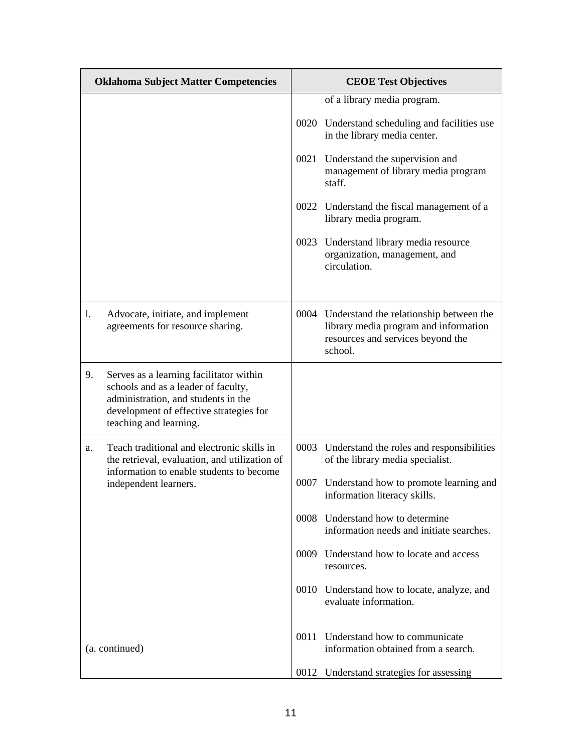| <b>Oklahoma Subject Matter Competencies</b> |                                                                                                                                                                                            | <b>CEOE Test Objectives</b>                                                                                                           |
|---------------------------------------------|--------------------------------------------------------------------------------------------------------------------------------------------------------------------------------------------|---------------------------------------------------------------------------------------------------------------------------------------|
|                                             |                                                                                                                                                                                            | of a library media program.                                                                                                           |
|                                             |                                                                                                                                                                                            | 0020 Understand scheduling and facilities use<br>in the library media center.                                                         |
|                                             |                                                                                                                                                                                            | 0021 Understand the supervision and<br>management of library media program<br>staff.                                                  |
|                                             |                                                                                                                                                                                            | 0022 Understand the fiscal management of a<br>library media program.                                                                  |
|                                             |                                                                                                                                                                                            | 0023 Understand library media resource<br>organization, management, and<br>circulation.                                               |
| 1.                                          | Advocate, initiate, and implement<br>agreements for resource sharing.                                                                                                                      | 0004 Understand the relationship between the<br>library media program and information<br>resources and services beyond the<br>school. |
| 9.                                          | Serves as a learning facilitator within<br>schools and as a leader of faculty,<br>administration, and students in the<br>development of effective strategies for<br>teaching and learning. |                                                                                                                                       |
| a.                                          | Teach traditional and electronic skills in<br>the retrieval, evaluation, and utilization of<br>information to enable students to become                                                    | 0003 Understand the roles and responsibilities<br>of the library media specialist.                                                    |
|                                             | independent learners.                                                                                                                                                                      | 0007 Understand how to promote learning and<br>information literacy skills.                                                           |
|                                             |                                                                                                                                                                                            | 0008 Understand how to determine<br>information needs and initiate searches.                                                          |
|                                             |                                                                                                                                                                                            | 0009 Understand how to locate and access<br>resources.                                                                                |
|                                             |                                                                                                                                                                                            | 0010 Understand how to locate, analyze, and<br>evaluate information.                                                                  |
|                                             | (a. continued)                                                                                                                                                                             | 0011 Understand how to communicate<br>information obtained from a search.                                                             |
|                                             |                                                                                                                                                                                            | 0012 Understand strategies for assessing                                                                                              |